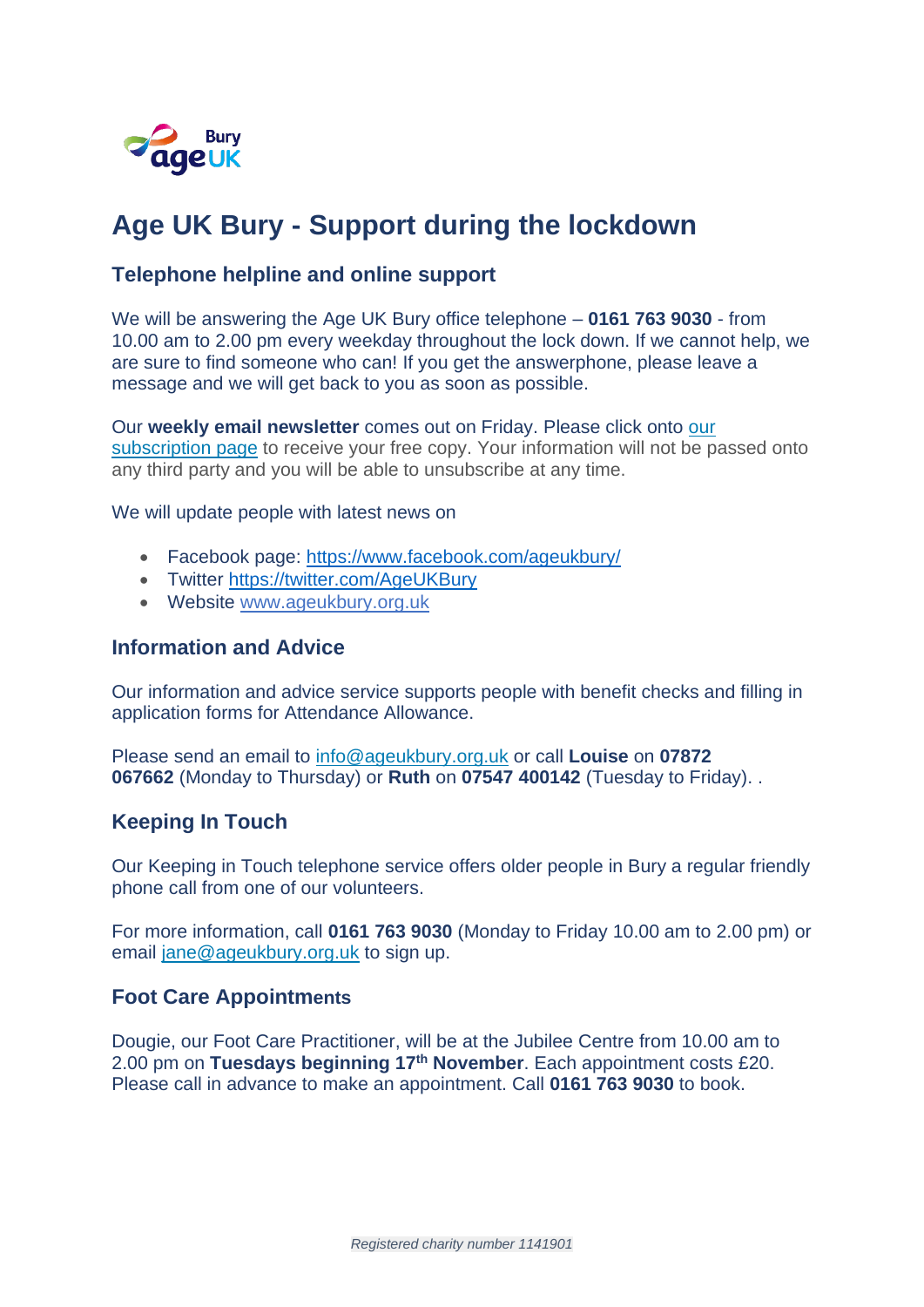

# **Age UK Bury - Support during the lockdown**

### **Telephone helpline and online support**

We will be answering the Age UK Bury office telephone – **0161 763 9030** - from 10.00 am to 2.00 pm every weekday throughout the lock down. If we cannot help, we are sure to find someone who can! If you get the answerphone, please leave a message and we will get back to you as soon as possible.

Our **weekly email newsletter** comes out on Friday. Please click onto [our](https://www.ageuk.org.uk/bury/our-services/coronavirus/newsletter3/) [subscription](https://www.ageuk.org.uk/bury/our-services/coronavirus/newsletter3/) page to receive your free copy. Your information will not be passed onto any third party and you will be able to unsubscribe at any time.

We will update people with latest news on

- Facebook page:<https://www.facebook.com/ageukbury/>
- Twitter<https://twitter.com/AgeUKBury>
- Website [www.ageukbury.org.uk](http://www.ageukbury.org.uk/)

#### **Information and Advice**

Our information and advice service supports people with benefit checks and filling in application forms for Attendance Allowance.

Please send an email to [info@ageukbury.org.uk](mailto:info@ageukbury.org.uk) or call **Louise** on **07872 067662** (Monday to Thursday) or **Ruth** on **07547 400142** (Tuesday to Friday). .

#### **Keeping In Touch**

Our Keeping in Touch telephone service offers older people in Bury a regular friendly phone call from one of our volunteers.

For more information, call **0161 763 9030** (Monday to Friday 10.00 am to 2.00 pm) or email [jane@ageukbury.org.uk](mailto:jane@ageukbury.org.uk) to sign up.

#### **Foot Care Appointments**

Dougie, our Foot Care Practitioner, will be at the Jubilee Centre from 10.00 am to 2.00 pm on **Tuesdays beginning 17th November**. Each appointment costs £20. Please call in advance to make an appointment. Call **0161 763 9030** to book.